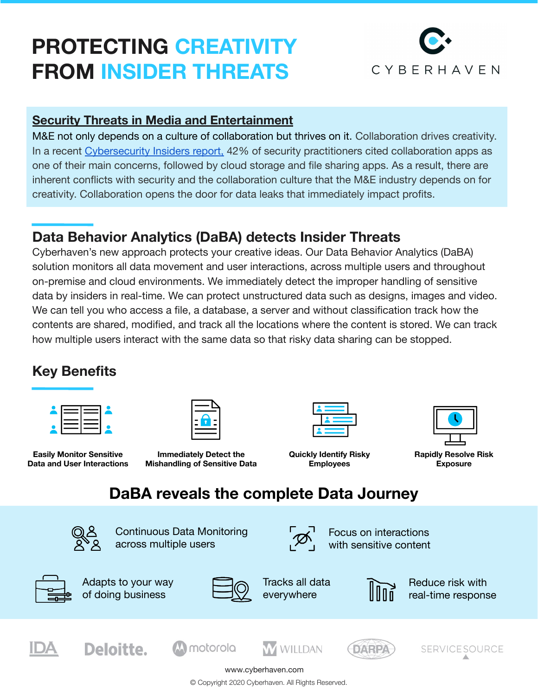## **PROTECTING CREATIVIT FROM INSIDER THREATS**



#### **[Security Threats in Media and Entertainment](https://www.hiscox.com/articles/over-half-media-and-entertainment-firms-experienced-three-or-more-cyber-attacks-over-12)**

M&E not only depends on a culture of collaboration but thrives on it. Collaboration drives creativity. In a recent [Cybersecurity Insiders report,](https://www.cybersecurity-insiders.com/portfolio/2020-insider-threat-report/) 42% of security practitioners cited collaboration apps as one of their main concerns, followed by cloud storage and file sharing apps. As a result, there are inherent conflicts with security and the collaboration culture that the M&E industry depends on for creativity. Collaboration opens the door for data leaks that immediately impact profits.

### **Data Behavior Analytics (DaBA) detects Insider Threats**

Cyberhaven's new approach protects your creative ideas. Our Data Behavior Analytics (DaBA) solution monitors all data movement and user interactions, across multiple users and throughout on-premise and cloud environments. We immediately detect the improper handling of sensitive data by insiders in real-time. We can protect unstructured data such as designs, images and video. We can tell you who access a file, a database, a server and without classification track how the contents are shared, modified, and track all the locations where the content is stored. We can track how multiple users interact with the same data so that risky data sharing can be stopped.

#### **Key Benefits**

**Easily Monitor Sensitive Data and User Interactions**



**Immediately Detect the Mishandling of Sensitive Data**

**Quickly Identify Risky Employees** 



**Rapidly Resolve Risk Exposure**

## **DaBA reveals the complete Data Journey**